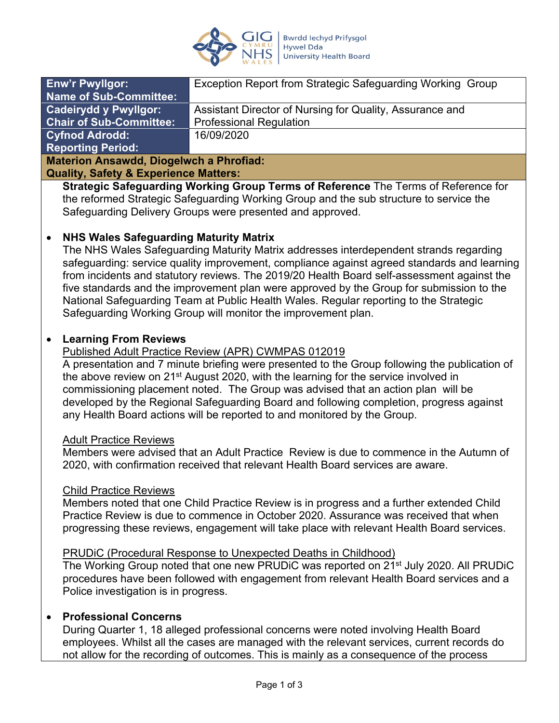

| <b>Enw'r Pwyllgor:</b>                      | Exception Report from Strategic Safeguarding Working Group |
|---------------------------------------------|------------------------------------------------------------|
| <b>Name of Sub-Committee:</b>               |                                                            |
| <b>Cadeirydd y Pwyllgor:</b>                | Assistant Director of Nursing for Quality, Assurance and   |
| <b>Chair of Sub-Committee:</b>              | <b>Professional Regulation</b>                             |
| <b>Cyfnod Adrodd:</b>                       | 16/09/2020                                                 |
| <b>Reporting Period:</b>                    |                                                            |
| Matarian Americald Disarcturals o Dhuafiad. |                                                            |

**Materion Ansawdd, Diogelwch a Phrofiad: Quality, Safety & Experience Matters:**

**Strategic Safeguarding Working Group Terms of Reference** The Terms of Reference for the reformed Strategic Safeguarding Working Group and the sub structure to service the Safeguarding Delivery Groups were presented and approved.

# **NHS Wales Safeguarding Maturity Matrix**

The NHS Wales Safeguarding Maturity Matrix addresses interdependent strands regarding safeguarding: service quality improvement, compliance against agreed standards and learning from incidents and statutory reviews. The 2019/20 Health Board self-assessment against the five standards and the improvement plan were approved by the Group for submission to the National Safeguarding Team at Public Health Wales. Regular reporting to the Strategic Safeguarding Working Group will monitor the improvement plan.

# **Learning From Reviews**

### Published Adult Practice Review (APR) CWMPAS 012019

A presentation and 7 minute briefing were presented to the Group following the publication of the above review on 21<sup>st</sup> August 2020, with the learning for the service involved in commissioning placement noted. The Group was advised that an action plan will be developed by the Regional Safeguarding Board and following completion, progress against any Health Board actions will be reported to and monitored by the Group.

### Adult Practice Reviews

Members were advised that an Adult Practice Review is due to commence in the Autumn of 2020, with confirmation received that relevant Health Board services are aware.

### Child Practice Reviews

Members noted that one Child Practice Review is in progress and a further extended Child Practice Review is due to commence in October 2020. Assurance was received that when progressing these reviews, engagement will take place with relevant Health Board services.

### PRUDiC (Procedural Response to Unexpected Deaths in Childhood)

The Working Group noted that one new PRUDIC was reported on 21<sup>st</sup> July 2020. All PRUDIC procedures have been followed with engagement from relevant Health Board services and a Police investigation is in progress.

# **Professional Concerns**

During Quarter 1, 18 alleged professional concerns were noted involving Health Board employees. Whilst all the cases are managed with the relevant services, current records do not allow for the recording of outcomes. This is mainly as a consequence of the process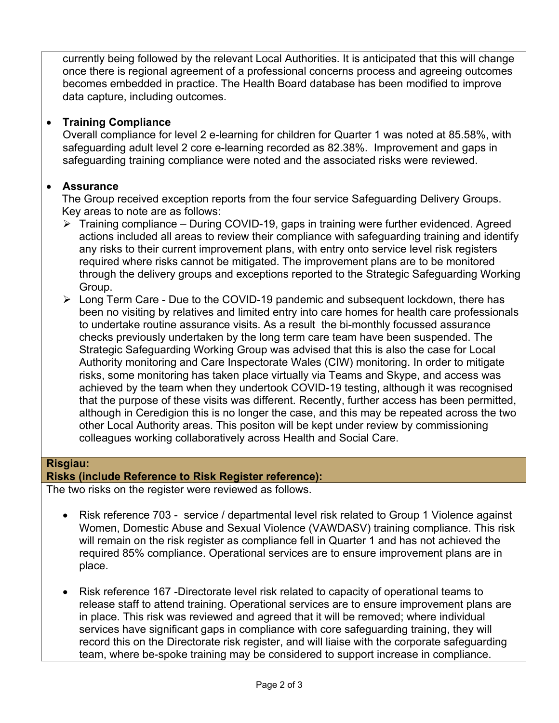currently being followed by the relevant Local Authorities. It is anticipated that this will change once there is regional agreement of a professional concerns process and agreeing outcomes becomes embedded in practice. The Health Board database has been modified to improve data capture, including outcomes.

# **Training Compliance**

Overall compliance for level 2 e-learning for children for Quarter 1 was noted at 85.58%, with safeguarding adult level 2 core e-learning recorded as 82.38%. Improvement and gaps in safeguarding training compliance were noted and the associated risks were reviewed.

# **Assurance**

The Group received exception reports from the four service Safeguarding Delivery Groups. Key areas to note are as follows:

- Training compliance During COVID-19, gaps in training were further evidenced. Agreed actions included all areas to review their compliance with safeguarding training and identify any risks to their current improvement plans, with entry onto service level risk registers required where risks cannot be mitigated. The improvement plans are to be monitored through the delivery groups and exceptions reported to the Strategic Safeguarding Working Group.
- Long Term Care Due to the COVID-19 pandemic and subsequent lockdown, there has been no visiting by relatives and limited entry into care homes for health care professionals to undertake routine assurance visits. As a result the bi-monthly focussed assurance checks previously undertaken by the long term care team have been suspended. The Strategic Safeguarding Working Group was advised that this is also the case for Local Authority monitoring and Care Inspectorate Wales (CIW) monitoring. In order to mitigate risks, some monitoring has taken place virtually via Teams and Skype, and access was achieved by the team when they undertook COVID-19 testing, although it was recognised that the purpose of these visits was different. Recently, further access has been permitted, although in Ceredigion this is no longer the case, and this may be repeated across the two other Local Authority areas. This positon will be kept under review by commissioning colleagues working collaboratively across Health and Social Care.

# **Risgiau:**

# **Risks (include Reference to Risk Register reference):**

The two risks on the register were reviewed as follows.

- Risk reference 703 service / departmental level risk related to Group 1 Violence against Women, Domestic Abuse and Sexual Violence (VAWDASV) training compliance. This risk will remain on the risk register as compliance fell in Quarter 1 and has not achieved the required 85% compliance. Operational services are to ensure improvement plans are in place.
- Risk reference 167 -Directorate level risk related to capacity of operational teams to release staff to attend training. Operational services are to ensure improvement plans are in place. This risk was reviewed and agreed that it will be removed; where individual services have significant gaps in compliance with core safeguarding training, they will record this on the Directorate risk register, and will liaise with the corporate safeguarding team, where be-spoke training may be considered to support increase in compliance.